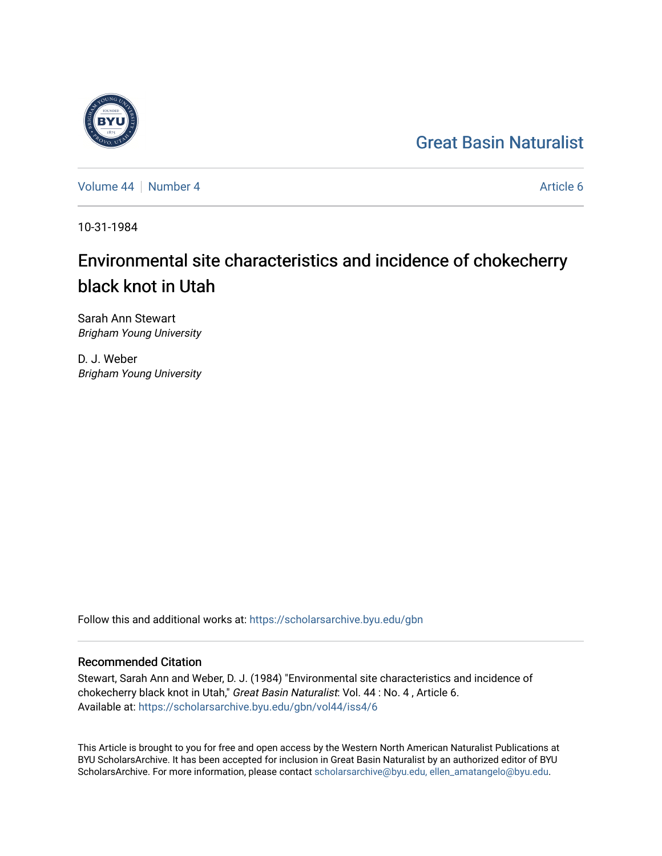## [Great Basin Naturalist](https://scholarsarchive.byu.edu/gbn)

[Volume 44](https://scholarsarchive.byu.edu/gbn/vol44) | [Number 4](https://scholarsarchive.byu.edu/gbn/vol44/iss4) [Article 6](https://scholarsarchive.byu.edu/gbn/vol44/iss4/6) Article 6

10-31-1984

# Environmental site characteristics and incidence of chokecherry black knot in Utah

Sarah Ann Stewart Brigham Young University

D. J. Weber Brigham Young University

Follow this and additional works at: [https://scholarsarchive.byu.edu/gbn](https://scholarsarchive.byu.edu/gbn?utm_source=scholarsarchive.byu.edu%2Fgbn%2Fvol44%2Fiss4%2F6&utm_medium=PDF&utm_campaign=PDFCoverPages) 

### Recommended Citation

Stewart, Sarah Ann and Weber, D. J. (1984) "Environmental site characteristics and incidence of chokecherry black knot in Utah," Great Basin Naturalist: Vol. 44 : No. 4 , Article 6. Available at: [https://scholarsarchive.byu.edu/gbn/vol44/iss4/6](https://scholarsarchive.byu.edu/gbn/vol44/iss4/6?utm_source=scholarsarchive.byu.edu%2Fgbn%2Fvol44%2Fiss4%2F6&utm_medium=PDF&utm_campaign=PDFCoverPages)

This Article is brought to you for free and open access by the Western North American Naturalist Publications at BYU ScholarsArchive. It has been accepted for inclusion in Great Basin Naturalist by an authorized editor of BYU ScholarsArchive. For more information, please contact [scholarsarchive@byu.edu, ellen\\_amatangelo@byu.edu.](mailto:scholarsarchive@byu.edu,%20ellen_amatangelo@byu.edu)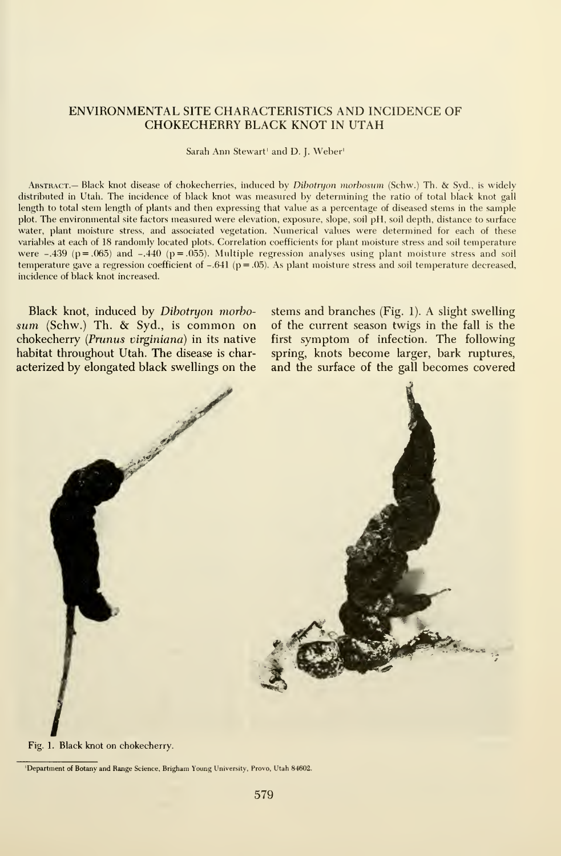#### ENVIRONMENTAL SITE CHARACTERISTICS AND INCIDENCE OF CHOKECHERRY BLACK KNOT IN UTAH

Sarah Ann Stewart' and D. J. Weber'

Abstract.— Black knot disease of chokecherries, induced by Dibotryon morbosum (Schw.) Th. & Syd., is widely distributed in Utah. The incidence of black knot was measured by determining the ratio of total black knot gall length to total stem length of plants and then expressing that value as a percentage of diseased stems in the sample plot. The environmental site factors measured were elevation, exposure, slope, soil pH, soil depth, distance to surface water, plant moisture stress, and associated vegetation. Numerical values were determined for each of these variables at each of 18 randomly located plots. Correlation coefficients for plant moisture stress and soil temperature were  $-.439$  (p = .065) and  $-.440$  (p = .055). Multiple regression analyses using plant moisture stress and soil temperature gave a regression coefficient of  $-.641$  (p = .05). As plant moisture stress and soil temperature decreased, incidence of black knot increased.

Black knot, induced by Dibotryon morbosum (Schw.) Th. & Syd., is common on chokecherry (Prunus virginiana) in its native habitat throughout Utah. The disease is characterized by elongated black swellings on the

stems and branches (Fig. 1). A slight swelling of the current season twigs in the fall is the first symptom of infection. The following spring, knots become larger, bark ruptures, and the surface of the gall becomes covered



Fig. 1. Black knot on chokecherry.

<sup>&#</sup>x27;Department of Botany and Range Science, Brigham Young University, Prove, Utah 84602.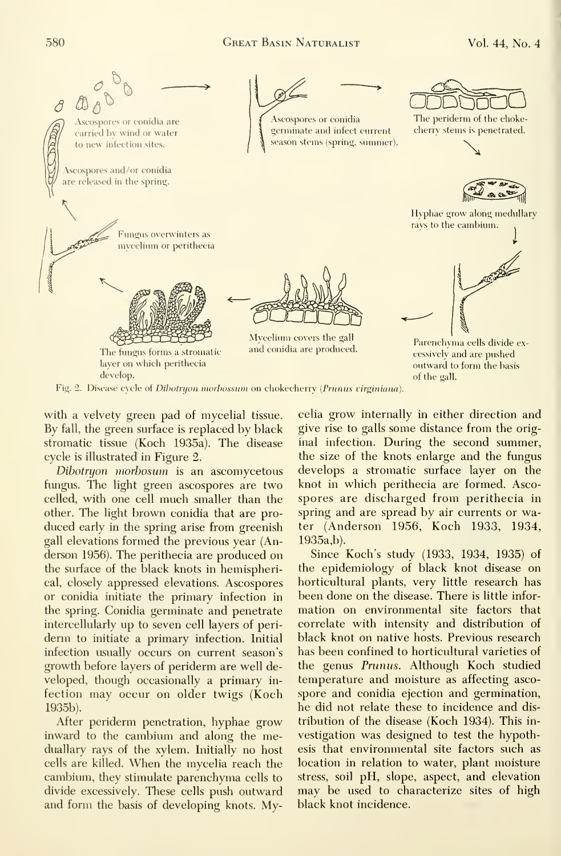

Fig. 2. Disease cycle of Dibotryon morbossum on chokecherry (Prunus virginiana).

with a velvety green pad of mycelial tissue. By fall, the green surface is replaced by black stromatic tissue (Koch 1935a). The disease cycle is illustrated in Figure 2.

Dibotryon morbosum is an ascomycetous fungus. The light green ascospores are two celled, with one cell much smaller than the other. The light brown conidia that are pro duced early in the spring arise from greenish gall elevations formed the previous year (Anderson 1956). The perithecia are produced on the surface of the black knots in hemispherical, closely appressed elevations. Ascospores or conidia initiate the primary infection in the spring. Conidia germinate and penetrate intercellularly up to seven cell layers of periderm to initiate a primary infection. Initial infection usually occurs on current season's growth before layers of periderm are well de veloped, though occasionally a primary in fection may occur on older twigs (Koch 1935b).

After periderm penetration, hyphae grow inward to the cambium and along the meduallary rays of the xylem. Initially no host cells are killed. When the mycelia reach the cambium, they stimulate parenchyma cells to divide excessively. These cells push outward and form the basis of developing knots. Mycelia grow internally in either direction and give rise to galls some distance from the original infection. During the second summer, the size of the knots enlarge and the fungus develops a stromatic surface layer on the knot in which perithecia are formed. Asco spores are discharged from perithecia in spring and are spread by air currents or water (Anderson 1956, Koch 1933, 1934, 1935a,b).

Since Koch's study (1933, 1934, 1935) of the epidemiology of black knot disease on horticultural plants, very little research has been done on the disease. There is little information on environmental site factors that correlate with intensity and distribution of black knot on native hosts. Previous research has been confined to horticultural varieties of the genus Prunus. Although Koch studied temperature and moisture as affecting asco spore and conidia ejection and germination, he did not relate these to incidence and dis tribution of the disease (Koch 1934). This in vestigation was designed to test the hypothesis that environmental site factors such as location in relation to water, plant moisture stress, soil pH, slope, aspect, and elevation may be used to characterize sites of high black knot incidence.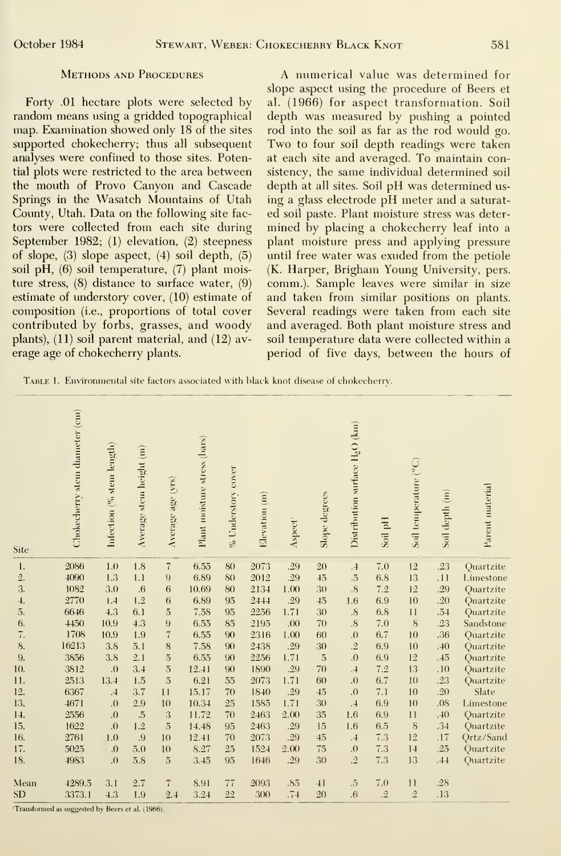Forty .01 hectare plots were selected by random means using a gridded topographical map. Examination showed only 18 of the sites supported chokecherry; thus all subsequent analyses were confined to those sites. Potential plots were restricted to the area between the mouth of Provo Canyon and Cascade Springs in the Wasatch Mountains of Utah County, Utah. Data on the following site factors were collected from each site during September 1982; (1) elevation, (2) steepness of slope, (3) slope aspect, (4) soil depth, (5) soil pH, (6) soil temperature, (7) plant moisture stress, (8) distance to surface water, (9) estimate of understory cover, (10) estimate of composition (i.e., proportions of total cover contributed by forbs, grasses, and woody plants), (11) soil parent material, and (12) av erage age of chokecherry plants.

A numerical value was determined for slope aspect using the procedure of Beers et al. (1966) for aspect transformation. Soil depth was measured by pushing a pointed rod into the soil as far as the rod would go. Two to four soil depth readings were taken at each site and averaged. To maintain consistency, the same individual determined soil depth at all sites. Soil pH was determined us ing <sup>a</sup> glass electrode pH meter and <sup>a</sup> saturat ed soil paste. Plant moisture stress was deter mined by placing a chokecherry leaf into a plant moisture press and applying pressure until free water was exuded from the petiole (K. Harper, Brigham Young University, pers. comm.). Sample leaves were similar in size and taken from similar positions on plants. Several readings were taken from each site and averaged. Both plant moisture stress and soil temperature data were collected within a period of five days, between the hours of

TABLE 1. Environmental site factors associated with black knot disease of chokecherry.

| Site                | Chokecherry stem diameter (cm) | Infection $(%$ stem length) | Average stem height (m) | Average age (yrs) | Plant moisture stress (bars) | $\%$ Understory cover | Elevation (m) | Aspect | Slope degrees  | Distribution surface $\rm{H_2O}$ (km) | Soil pH   | Soil temperature (°C) | Soil depth (m) | Parent material |
|---------------------|--------------------------------|-----------------------------|-------------------------|-------------------|------------------------------|-----------------------|---------------|--------|----------------|---------------------------------------|-----------|-----------------------|----------------|-----------------|
| 1.                  | 2086                           | 1.0                         | 1.8                     | $\overline{7}$    | 6.55                         | 80                    | 2073          | .29    | 20             | $\cdot$                               | 7.0       | 12                    | .23            | Quartzite       |
| $\overline{2}$ .    | 4090                           | 1.3                         | 1.1                     | 9                 | 6.89                         | 80                    | 2012          | .29    | 45             | $\ddot{.}5$                           | 6.8       | 13                    | .11            | Limestone       |
| 3.                  | 1082                           | 3.0                         | $\overline{0}$          | 6                 | 10.69                        | 80                    | 2134          | 1.00   | 30             | $\overline{8}$                        | 7.2       | 12                    | .29            | Quartzite       |
| $\overline{4}$ .    | 2770                           | 1.4                         | 1.2                     | 6                 | 6.89                         | 95                    | 2444          | .29    | 45             | 1.6                                   | 6.9       | 10                    | .20            | Quartzite       |
| 5.                  | 6646                           | 4.3                         | 6.1                     | $\overline{5}$    | 7.58                         | 95                    | 2256          | 1.71   | 30             | $\cdot$ <sup>8</sup> .                | 6.8       | 11                    | .54            | Quartzite       |
| 6.                  | 4450                           | 10.9                        | 4.3                     | 9                 | 6.55                         | 85                    | 2195          | .00    | 70             | $\overline{\mathcal{S}}$              | 7.0       | $\,$ 8 $\,$           | .23            | Sandstone       |
| $\overline{\tau}$ . | 1708                           | 10.9                        | 1.9                     | $\overline{7}$    | 6.55                         | 90                    | 2316          | 1.00   | 60             | $\Omega$ .                            | 6.7       | 10                    | .36            | Quartzite       |
| 8.                  | 16213                          | 3.8                         | 5.1                     | 8                 | 7.58                         | 90                    | 2438          | .29    | 30             | $\cdot \cdot$ <sup>2</sup>            | 6.9       | 10                    | .40            | Quartzite       |
| 9.                  | 3856                           | 3.8                         | 2.1                     | $\overline{5}$    | 6.55                         | 90                    | 2256          | 1.71   | $\overline{5}$ | .0                                    | 6.9       | 12                    | .45            | Quartzite       |
| 10.                 | 3812                           | $\overline{0}$ .            | 3.4                     | $\overline{5}$    | 12.41                        | 90                    | 1890          | .29    | 70             | $\overline{.4}$                       | 7.2       | 13                    | .10            | Quartzite       |
| 11.                 | 2513                           | 13.4                        | 1.5                     | $\overline{5}$    | 6.21                         | 55                    | 2073          | 1.71   | 60             | .0                                    | 6.7       | 10                    | .23            | Quartzite       |
| 12.                 | 6367                           | .4                          | 3.7                     | 11                | 15.17                        | 70                    | 1840          | .29    | 45             | .0                                    | 7.1       | 10                    | .20            | Slate           |
| 13.                 | 4671                           | .0                          | 2.9                     | 10                | 10.34                        | 25                    | 1585          | 1.71   | 30             | .4                                    | 6.9       | 10                    | .08            | Limestone       |
| 14.                 | 2556                           | .0                          | $\ddot{5}$              | 3                 | 11.72                        | 70                    | 2463          | 2.00   | 35             | 1.6                                   | 6.9       | 11                    | .40            | Quartzite       |
| 15.                 | 1622                           | 0.                          | 1.2                     | $\overline{5}$    | 14.48                        | 95                    | 2463          | .29    | 15             | 1.6                                   | 6.5       | 8                     | .34            | Quartzite       |
| 16.                 | 2761                           | 1.0                         | .9                      | 10                | 12.41                        | 70                    | 2073          | .29    | 45             | .4                                    | 7.3       | 12                    | .17            | Qrtz/Sand       |
| 17.                 | 5025                           | .0                          | 5.0                     | 10                | 8.27                         | 25                    | 1524          | 2.00   | 75             | .0                                    | 7.3       | 14                    | .25            | Quartzite       |
| 18.                 | 4983                           | .0                          | 5.8                     | $\overline{5}$    | 3.45                         | 95                    | 1646          | .29    | 30             | $\cdot \mathbf{2}$                    | 7.3       | 13                    | .44            | Quartzite       |
| Mean                | 4289.5                         | 3.1                         | 2.7                     | $\overline{7}$    | 8.91                         | 77                    | 2093          | .85    | 41             | $\overline{5}$                        | 7.0       | 11                    | .28            |                 |
| <b>SD</b>           | 3373.1                         | 4.3                         | 1.9                     | 2.4               | 3.24                         | 22                    | 300           | .74    | 20             | $\overline{6}$                        | $\cdot$ 2 | $\overline{2}$        | .13            |                 |

'Transformed as suggested by Beers et al. (1966).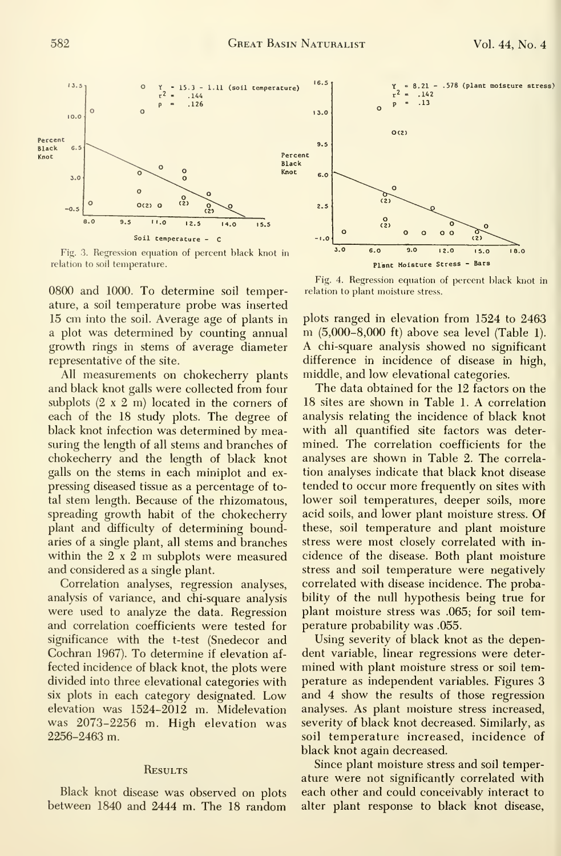

Fig. 3. Regression equation of percent black knot in relation to soil temperature.

0800 and 1000. To determine soil temperature, a soil temperature probe was inserted 15 cm into the soil. Average age of plants in a plot was determined by counting annual growth rings in stems of average diameter representative of the site.

All measurements on chokecherry plants and black knot galls were collected from four subplots  $(2 \times 2 \text{ m})$  located in the corners of each of the 18 study plots. The degree of black knot infection was determined by measuring the length of all stems and branches of chokecherry and the length of black knot galls on the stems in each miniplot and expressing diseased tissue as a percentage of total stem length. Because of the rhizomatous, spreading growth habit of the chokecherry plant and difficulty of determining boundaries of a single plant, all stems and branches within the  $2 \times 2$  m subplots were measured and considered as a single plant.

Correlation analyses, regression analyses, analysis of variance, and chi-square analysis were used to analyze the data. Regression and correlation coefficients were tested for significance with the t-test (Snedecor and Cochran 1967). To determine if elevation affected incidence of black knot, the plots were divided into three elevational categories with six plots in each category designated. Low elevation was 1524-2012 m. Midelevation was 2073-2256 m. High elevation was 2256-2463 m.

#### RESULTS

Black knot disease was observed on plots between 1840 and 2444 m. The 18 random



Fig. 4. Regression equation of percent black knot in relation to plant moisture stress.

plots ranged in elevation from 1524 to 2463 m (5,000–8,000 ft) above sea level (Table 1). A chi-square analysis showed no significant difference in incidence of disease in high, middle, and low elevational categories.

The data obtained for the 12 factors on the 18 sites are shown in Table 1. A correlation analysis relating the incidence of black knot with all quantified site factors was determined. The correlation coefficients for the analyses are shown in Table 2. The correlation analyses indicate that black knot disease tended to occur more frequently on sites with lower soil temperatures, deeper soils, more acid soils, and lower plant moisture stress. Of these, soil temperature and plant moisture stress were most closely correlated with incidence of the disease. Both plant moisture stress and soil temperature were negatively correlated with disease incidence. The probability of the null hypothesis being true for plant moisture stress was .065; for soil temperature probability was .055.

Using severity of black knot as the dependent variable, linear regressions were determined with plant moisture stress or soil temperature as independent variables. Figures 3 and 4 show the results of those regression analyses. As plant moisture stress increased, severity of black knot decreased. Similarly, as soil temperature increased, incidence of black knot again decreased.

Since plant moisture stress and soil temperature were not significantly correlated with each other and could conceivably interact to alter plant response to black knot disease,